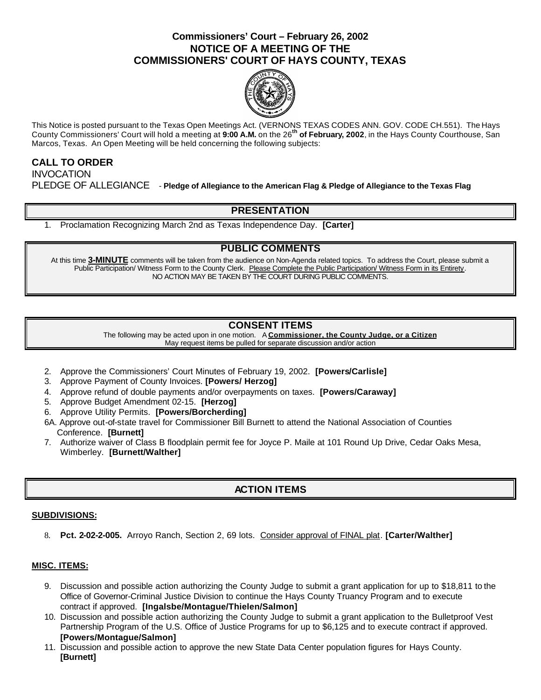# **Commissioners' Court – February 26, 2002 NOTICE OF A MEETING OF THE COMMISSIONERS' COURT OF HAYS COUNTY, TEXAS**



This Notice is posted pursuant to the Texas Open Meetings Act. (VERNONS TEXAS CODES ANN. GOV. CODE CH.551). The Hays County Commissioners' Court will hold a meeting at **9:00 A.M.** on the 26**th of February, 2002**, in the Hays County Courthouse, San Marcos, Texas. An Open Meeting will be held concerning the following subjects:

#### **CALL TO ORDER INVOCATION**

PLEDGE OF ALLEGIANCE - **Pledge of Allegiance to the American Flag & Pledge of Allegiance to the Texas Flag**

## **PRESENTATION**

1. Proclamation Recognizing March 2nd as Texas Independence Day. **[Carter]**

## **PUBLIC COMMENTS**

At this time **3-MINUTE** comments will be taken from the audience on Non-Agenda related topics. To address the Court, please submit a Public Participation/ Witness Form to the County Clerk. Please Complete the Public Participation/ Witness Form in its Entirety. NO ACTION MAY BE TAKEN BY THE COURT DURING PUBLIC COMMENTS.

## **CONSENT ITEMS**

The following may be acted upon in one motion. A **Commissioner, the County Judge, or a Citizen** May request items be pulled for separate discussion and/or action

- 2. Approve the Commissioners' Court Minutes of February 19, 2002. **[Powers/Carlisle]**
- 3. Approve Payment of County Invoices. **[Powers/ Herzog]**
- 4. Approve refund of double payments and/or overpayments on taxes. **[Powers/Caraway]**
- 5. Approve Budget Amendment 02-15. **[Herzog]**
- 6. Approve Utility Permits. **[Powers/Borcherding]**
- 6A. Approve out-of-state travel for Commissioner Bill Burnett to attend the National Association of Counties Conference. **[Burnett]**
- 7. Authorize waiver of Class B floodplain permit fee for Joyce P. Maile at 101 Round Up Drive, Cedar Oaks Mesa, Wimberley. **[Burnett/Walther]**

## **ACTION ITEMS**

#### **SUBDIVISIONS:**

8. **Pct. 2-02-2-005.** Arroyo Ranch, Section 2, 69 lots. Consider approval of FINAL plat. **[Carter/Walther]**

#### **MISC. ITEMS:**

- 9. Discussion and possible action authorizing the County Judge to submit a grant application for up to \$18,811 to the Office of Governor-Criminal Justice Division to continue the Hays County Truancy Program and to execute contract if approved. **[Ingalsbe/Montague/Thielen/Salmon]**
- 10. Discussion and possible action authorizing the County Judge to submit a grant application to the Bulletproof Vest Partnership Program of the U.S. Office of Justice Programs for up to \$6,125 and to execute contract if approved. **[Powers/Montague/Salmon]**
- 11. Discussion and possible action to approve the new State Data Center population figures for Hays County. **[Burnett]**